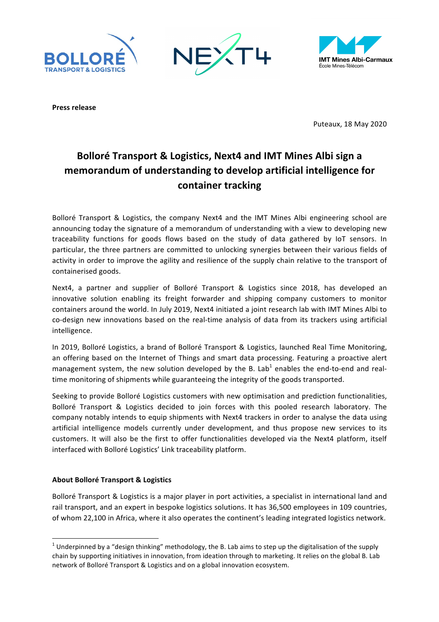





**Press release**

Puteaux, 18 May 2020

# **Bolloré Transport & Logistics, Next4 and IMT Mines Albi sign a** memorandum of understanding to develop artificial intelligence for container tracking

Bolloré Transport & Logistics, the company Next4 and the IMT Mines Albi engineering school are announcing today the signature of a memorandum of understanding with a view to developing new traceability functions for goods flows based on the study of data gathered by IoT sensors. In particular, the three partners are committed to unlocking synergies between their various fields of activity in order to improve the agility and resilience of the supply chain relative to the transport of containerised goods.

Next4, a partner and supplier of Bolloré Transport & Logistics since 2018, has developed an innovative solution enabling its freight forwarder and shipping company customers to monitor containers around the world. In July 2019, Next4 initiated a joint research lab with IMT Mines Albi to co-design new innovations based on the real-time analysis of data from its trackers using artificial intelligence.

In 2019, Bolloré Logistics, a brand of Bolloré Transport & Logistics, launched Real Time Monitoring, an offering based on the Internet of Things and smart data processing. Featuring a proactive alert management system, the new solution developed by the B. Lab<sup>1</sup> enables the end-to-end and realtime monitoring of shipments while guaranteeing the integrity of the goods transported.

Seeking to provide Bolloré Logistics customers with new optimisation and prediction functionalities, Bolloré Transport & Logistics decided to join forces with this pooled research laboratory. The company notably intends to equip shipments with Next4 trackers in order to analyse the data using artificial intelligence models currently under development, and thus propose new services to its customers. It will also be the first to offer functionalities developed via the Next4 platform, itself interfaced with Bolloré Logistics' Link traceability platform.

## **About Bolloré Transport & Logistics**

<u> 1989 - Johann Stein, fransk politik (d. 1989)</u>

Bolloré Transport & Logistics is a major player in port activities, a specialist in international land and rail transport, and an expert in bespoke logistics solutions. It has 36,500 employees in 109 countries, of whom 22,100 in Africa, where it also operates the continent's leading integrated logistics network.

<sup>&</sup>lt;sup>1</sup> Underpinned by a "design thinking" methodology, the B. Lab aims to step up the digitalisation of the supply chain by supporting initiatives in innovation, from ideation through to marketing. It relies on the global B. Lab network of Bolloré Transport & Logistics and on a global innovation ecosystem.